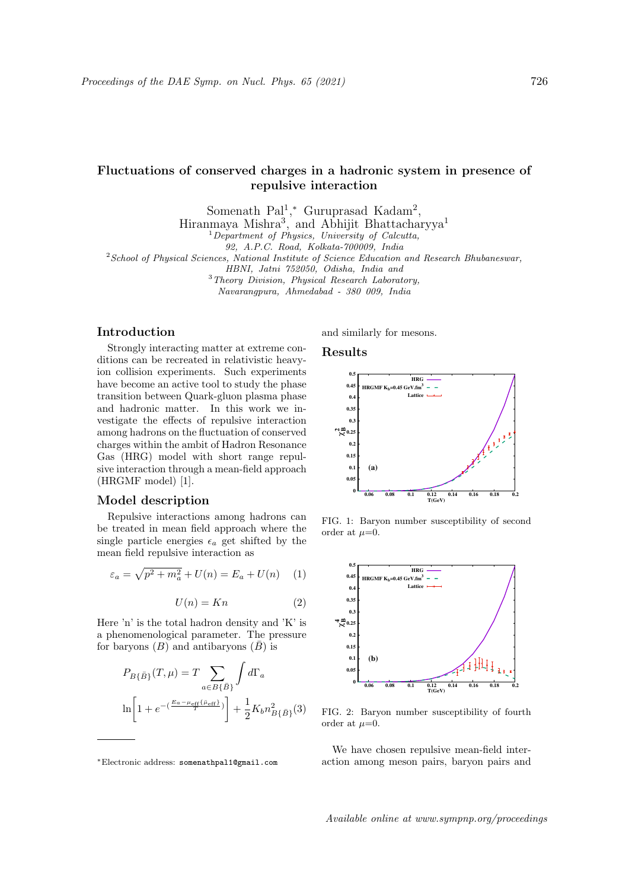# Fluctuations of conserved charges in a hadronic system in presence of repulsive interaction

Somenath  $Pal^{1,*}$  Guruprasad Kadam<sup>2</sup>,

Hiranmaya Mishra<sup>3</sup>, and Abhijit Bhattacharyya<sup>1</sup>

 $1$ Department of Physics, University of Calcutta,

92, A.P.C. Road, Kolkata-700009, India

<sup>2</sup>School of Physical Sciences, National Institute of Science Education and Research Bhubaneswar,

HBNI, Jatni 752050, Odisha, India and

<sup>3</sup>Theory Division, Physical Research Laboratory,

Navarangpura, Ahmedabad - 380 009, India

## Introduction

Strongly interacting matter at extreme conditions can be recreated in relativistic heavyion collision experiments. Such experiments have become an active tool to study the phase transition between Quark-gluon plasma phase and hadronic matter. In this work we investigate the effects of repulsive interaction among hadrons on the fluctuation of conserved charges within the ambit of Hadron Resonance Gas (HRG) model with short range repulsive interaction through a mean-field approach (HRGMF model) [1].

## Model description

Repulsive interactions among hadrons can be treated in mean field approach where the single particle energies  $\epsilon_a$  get shifted by the mean field repulsive interaction as

$$
\varepsilon_a = \sqrt{p^2 + m_a^2} + U(n) = E_a + U(n) \quad (1)
$$

$$
U(n) = Kn \tag{2}
$$

Here 'n' is the total hadron density and 'K' is a phenomenological parameter. The pressure for baryons  $(B)$  and antibaryons  $(\overline{B})$  is

$$
P_{B\{\bar{B}\}}(T,\mu) = T \sum_{a \in B\{\bar{B}\}} \int d\Gamma_a
$$

$$
\ln \left[ 1 + e^{-\left(\frac{E_a - \mu_{\text{eff}}\{\bar{B}\} \epsilon}{T}\right)} \right] + \frac{1}{2} K_b n_{B\{\bar{B}\}}^2(3)
$$

and similarly for mesons.

#### Results



FIG. 1: Baryon number susceptibility of second order at  $\mu=0$ .



FIG. 2: Baryon number susceptibility of fourth order at  $\mu=0$ .

We have chosen repulsive mean-field interaction among meson pairs, baryon pairs and

Available online at www.sympnp.org/proceedings

<sup>∗</sup>Electronic address: somenathpal1@gmail.com